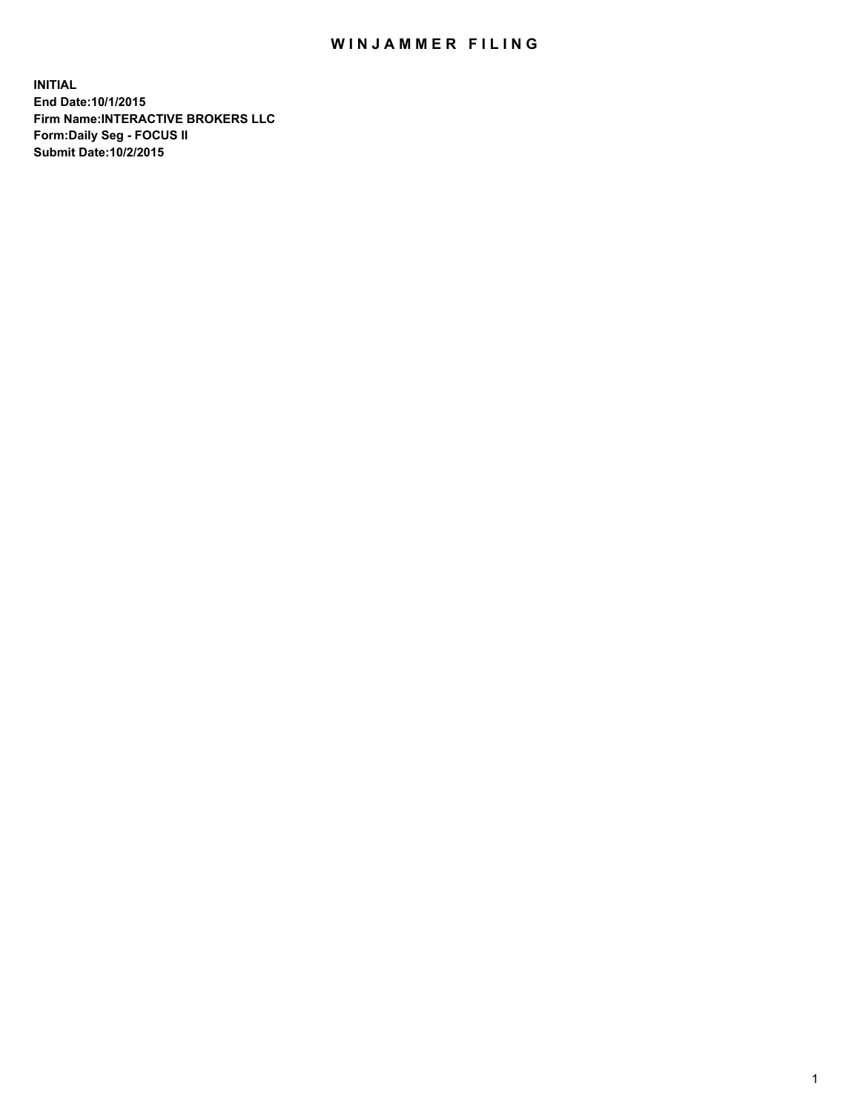## WIN JAMMER FILING

**INITIAL End Date:10/1/2015 Firm Name:INTERACTIVE BROKERS LLC Form:Daily Seg - FOCUS II Submit Date:10/2/2015**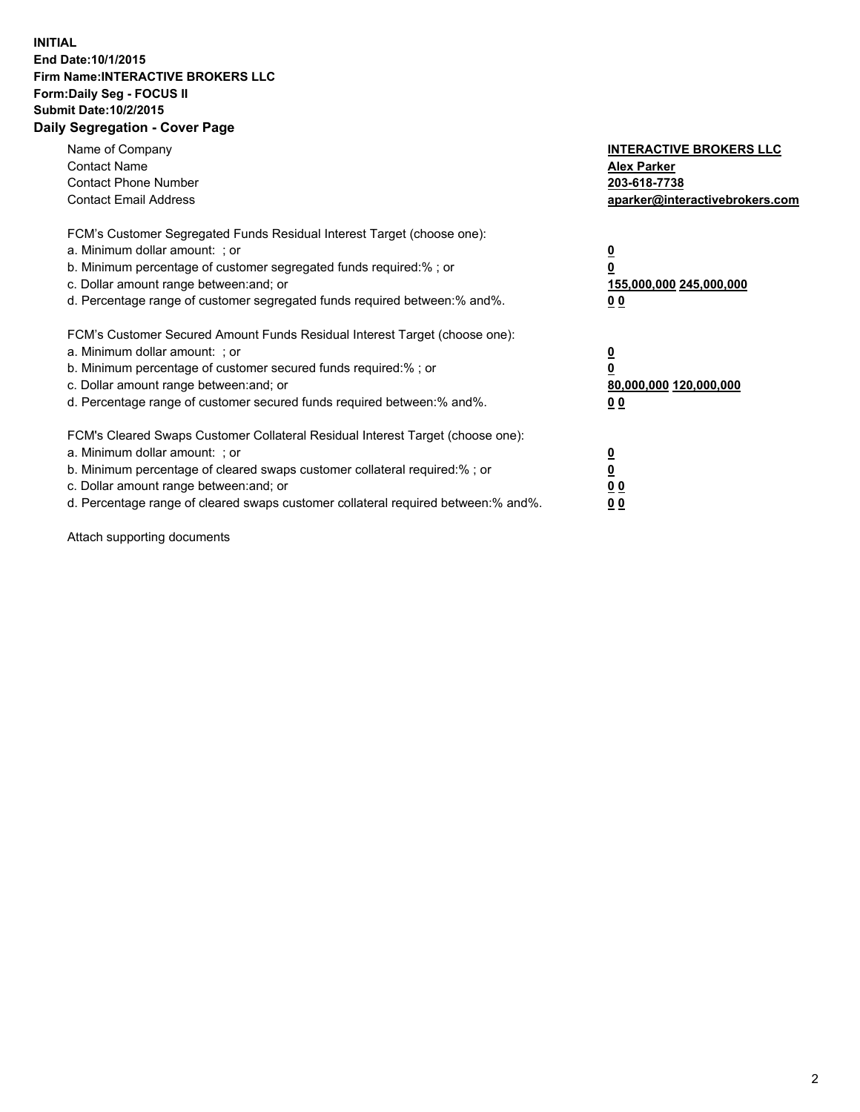## **INITIAL End Date:10/1/2015 Firm Name:INTERACTIVE BROKERS LLC Form:Daily Seg - FOCUS II Submit Date:10/2/2015 Daily Segregation - Cover Page**

| Name of Company<br><b>Contact Name</b><br><b>Contact Phone Number</b><br><b>Contact Email Address</b>                                                                                                                                                                                                                          | <b>INTERACTIVE BROKERS LLC</b><br><b>Alex Parker</b><br>203-618-7738<br>aparker@interactivebrokers.com |
|--------------------------------------------------------------------------------------------------------------------------------------------------------------------------------------------------------------------------------------------------------------------------------------------------------------------------------|--------------------------------------------------------------------------------------------------------|
| FCM's Customer Segregated Funds Residual Interest Target (choose one):<br>a. Minimum dollar amount: ; or<br>b. Minimum percentage of customer segregated funds required:% ; or<br>c. Dollar amount range between: and; or<br>d. Percentage range of customer segregated funds required between:% and%.                         | <u>0</u><br><u>155,000,000 245,000,000</u><br>00                                                       |
| FCM's Customer Secured Amount Funds Residual Interest Target (choose one):<br>a. Minimum dollar amount: ; or<br>b. Minimum percentage of customer secured funds required:%; or<br>c. Dollar amount range between: and; or<br>d. Percentage range of customer secured funds required between: % and %.                          | <u>0</u><br>80,000,000 120,000,000<br>0 <sub>0</sub>                                                   |
| FCM's Cleared Swaps Customer Collateral Residual Interest Target (choose one):<br>a. Minimum dollar amount: ; or<br>b. Minimum percentage of cleared swaps customer collateral required:% ; or<br>c. Dollar amount range between: and; or<br>d. Percentage range of cleared swaps customer collateral required between:% and%. | <u>0</u><br>0 <sub>0</sub><br><u>0 0</u>                                                               |

Attach supporting documents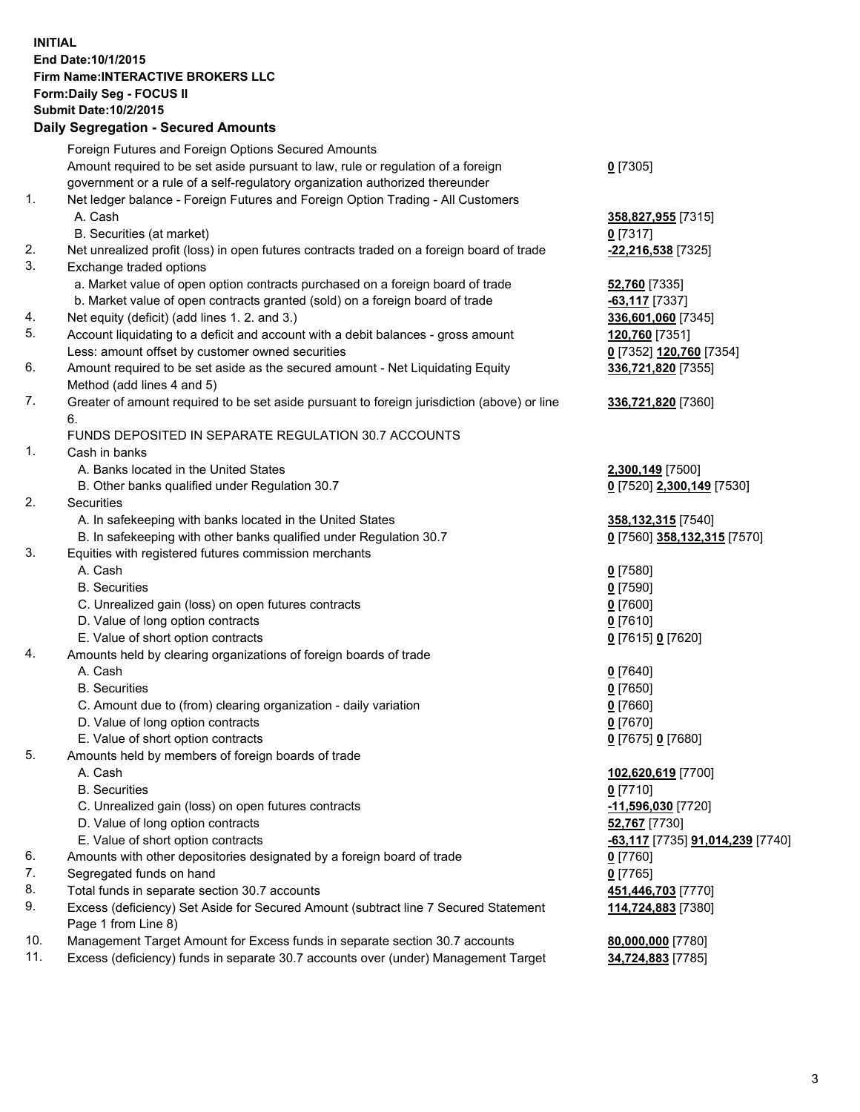## **INITIAL End Date:10/1/2015 Firm Name:INTERACTIVE BROKERS LLC Form:Daily Seg - FOCUS II Submit Date:10/2/2015 Daily Segregation - Secured Amounts**

|     | Daily Jegregation - Jeculed Aniounts                                                                       |                                  |
|-----|------------------------------------------------------------------------------------------------------------|----------------------------------|
|     | Foreign Futures and Foreign Options Secured Amounts                                                        |                                  |
|     | Amount required to be set aside pursuant to law, rule or regulation of a foreign                           | $0$ [7305]                       |
|     | government or a rule of a self-regulatory organization authorized thereunder                               |                                  |
| 1.  | Net ledger balance - Foreign Futures and Foreign Option Trading - All Customers                            |                                  |
|     | A. Cash                                                                                                    | 358,827,955 [7315]               |
|     | B. Securities (at market)                                                                                  | $0$ [7317]                       |
| 2.  | Net unrealized profit (loss) in open futures contracts traded on a foreign board of trade                  | -22,216,538 [7325]               |
| 3.  | Exchange traded options                                                                                    |                                  |
|     | a. Market value of open option contracts purchased on a foreign board of trade                             | <b>52,760</b> [7335]             |
|     | b. Market value of open contracts granted (sold) on a foreign board of trade                               | $-63,117$ [7337]                 |
| 4.  | Net equity (deficit) (add lines 1.2. and 3.)                                                               | 336,601,060 [7345]               |
| 5.  | Account liquidating to a deficit and account with a debit balances - gross amount                          | 120,760 [7351]                   |
|     | Less: amount offset by customer owned securities                                                           | 0 [7352] 120,760 [7354]          |
| 6.  | Amount required to be set aside as the secured amount - Net Liquidating Equity                             | 336,721,820 [7355]               |
|     | Method (add lines 4 and 5)                                                                                 |                                  |
| 7.  | Greater of amount required to be set aside pursuant to foreign jurisdiction (above) or line                | 336,721,820 [7360]               |
|     | 6.                                                                                                         |                                  |
|     | FUNDS DEPOSITED IN SEPARATE REGULATION 30.7 ACCOUNTS                                                       |                                  |
| 1.  | Cash in banks                                                                                              |                                  |
|     | A. Banks located in the United States                                                                      | 2,300,149 [7500]                 |
|     | B. Other banks qualified under Regulation 30.7                                                             | 0 [7520] 2,300,149 [7530]        |
| 2.  | Securities                                                                                                 |                                  |
|     | A. In safekeeping with banks located in the United States                                                  | 358,132,315 [7540]               |
|     | B. In safekeeping with other banks qualified under Regulation 30.7                                         | 0 [7560] 358,132,315 [7570]      |
| 3.  | Equities with registered futures commission merchants                                                      |                                  |
|     | A. Cash                                                                                                    | $0$ [7580]                       |
|     | <b>B.</b> Securities                                                                                       | $0$ [7590]                       |
|     | C. Unrealized gain (loss) on open futures contracts                                                        | $0$ [7600]                       |
|     | D. Value of long option contracts                                                                          | $0$ [7610]                       |
|     | E. Value of short option contracts                                                                         | 0 [7615] 0 [7620]                |
| 4.  | Amounts held by clearing organizations of foreign boards of trade                                          |                                  |
|     | A. Cash                                                                                                    | $0$ [7640]                       |
|     | <b>B.</b> Securities                                                                                       | $0$ [7650]                       |
|     | C. Amount due to (from) clearing organization - daily variation                                            | $0$ [7660]                       |
|     | D. Value of long option contracts                                                                          | $0$ [7670]                       |
|     | E. Value of short option contracts                                                                         | 0 [7675] 0 [7680]                |
| 5.  | Amounts held by members of foreign boards of trade                                                         |                                  |
|     | A. Cash                                                                                                    | 102,620,619 [7700]               |
|     | <b>B.</b> Securities                                                                                       | $0$ [7710]                       |
|     | C. Unrealized gain (loss) on open futures contracts                                                        | -11,596,030 [7720]               |
|     | D. Value of long option contracts                                                                          | 52,767 [7730]                    |
|     | E. Value of short option contracts                                                                         | -63,117 [7735] 91,014,239 [7740] |
| 6.  | Amounts with other depositories designated by a foreign board of trade                                     | 0 [7760]                         |
| 7.  | Segregated funds on hand                                                                                   | $0$ [7765]                       |
| 8.  | Total funds in separate section 30.7 accounts                                                              | 451,446,703 [7770]               |
| 9.  | Excess (deficiency) Set Aside for Secured Amount (subtract line 7 Secured Statement<br>Page 1 from Line 8) | 114,724,883 [7380]               |
| 10. | Management Target Amount for Excess funds in separate section 30.7 accounts                                | 80,000,000 [7780]                |
| 11. | Excess (deficiency) funds in separate 30.7 accounts over (under) Management Target                         | 34,724,883 [7785]                |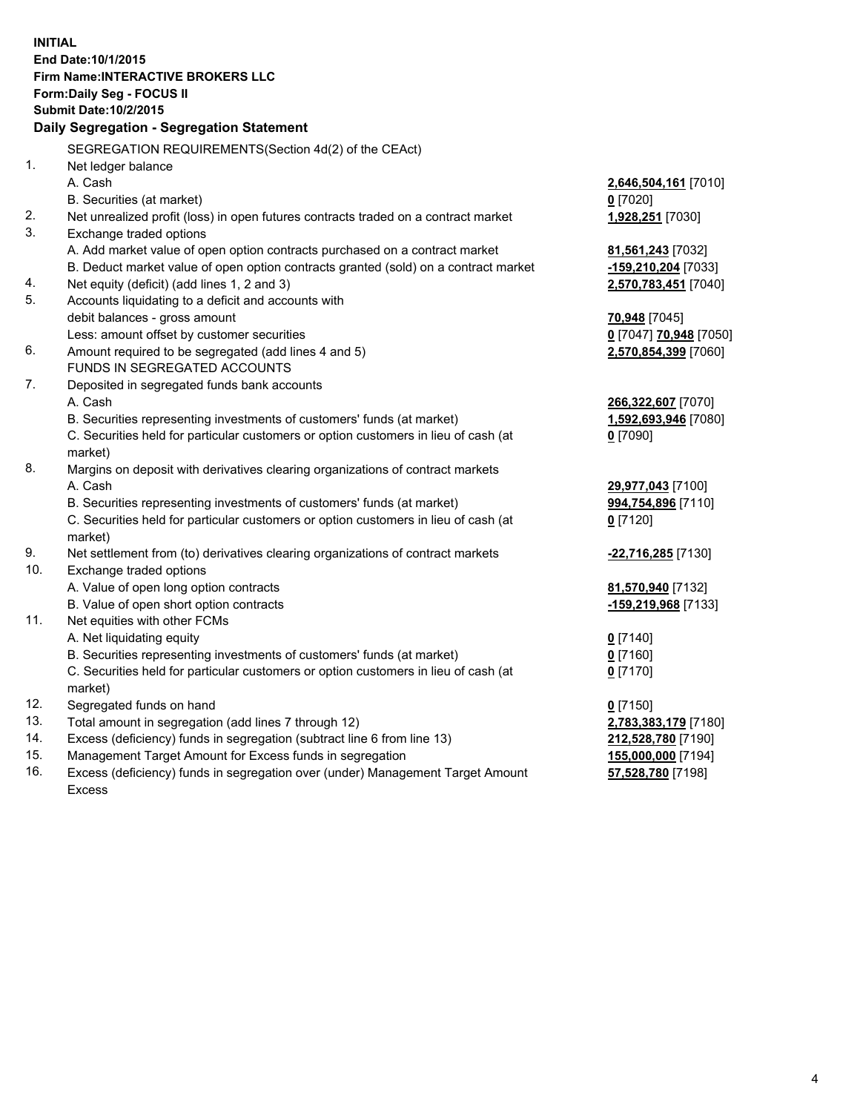**INITIAL End Date:10/1/2015 Firm Name:INTERACTIVE BROKERS LLC Form:Daily Seg - FOCUS II Submit Date:10/2/2015 Daily Segregation - Segregation Statement** SEGREGATION REQUIREMENTS(Section 4d(2) of the CEAct) 1. Net ledger balance A. Cash **2,646,504,161** [7010] B. Securities (at market) **0** [7020] 2. Net unrealized profit (loss) in open futures contracts traded on a contract market **1,928,251** [7030] 3. Exchange traded options A. Add market value of open option contracts purchased on a contract market **81,561,243** [7032] B. Deduct market value of open option contracts granted (sold) on a contract market **-159,210,204** [7033] 4. Net equity (deficit) (add lines 1, 2 and 3) **2,570,783,451** [7040] 5. Accounts liquidating to a deficit and accounts with debit balances - gross amount **70,948** [7045] Less: amount offset by customer securities **0** [7047] **70,948** [7050] 6. Amount required to be segregated (add lines 4 and 5) **2,570,854,399** [7060] FUNDS IN SEGREGATED ACCOUNTS 7. Deposited in segregated funds bank accounts A. Cash **266,322,607** [7070] B. Securities representing investments of customers' funds (at market) **1,592,693,946** [7080] C. Securities held for particular customers or option customers in lieu of cash (at market) **0** [7090] 8. Margins on deposit with derivatives clearing organizations of contract markets A. Cash **29,977,043** [7100] B. Securities representing investments of customers' funds (at market) **994,754,896** [7110] C. Securities held for particular customers or option customers in lieu of cash (at market) **0** [7120] 9. Net settlement from (to) derivatives clearing organizations of contract markets **-22,716,285** [7130] 10. Exchange traded options A. Value of open long option contracts **81,570,940** [7132] B. Value of open short option contracts **-159,219,968** [7133] 11. Net equities with other FCMs A. Net liquidating equity **0** [7140] B. Securities representing investments of customers' funds (at market) **0** [7160] C. Securities held for particular customers or option customers in lieu of cash (at market) **0** [7170] 12. Segregated funds on hand **0** [7150] 13. Total amount in segregation (add lines 7 through 12) **2,783,383,179** [7180] 14. Excess (deficiency) funds in segregation (subtract line 6 from line 13) **212,528,780** [7190] 15. Management Target Amount for Excess funds in segregation **155,000,000** [7194] 16. Excess (deficiency) funds in segregation over (under) Management Target Amount **57,528,780** [7198]

Excess